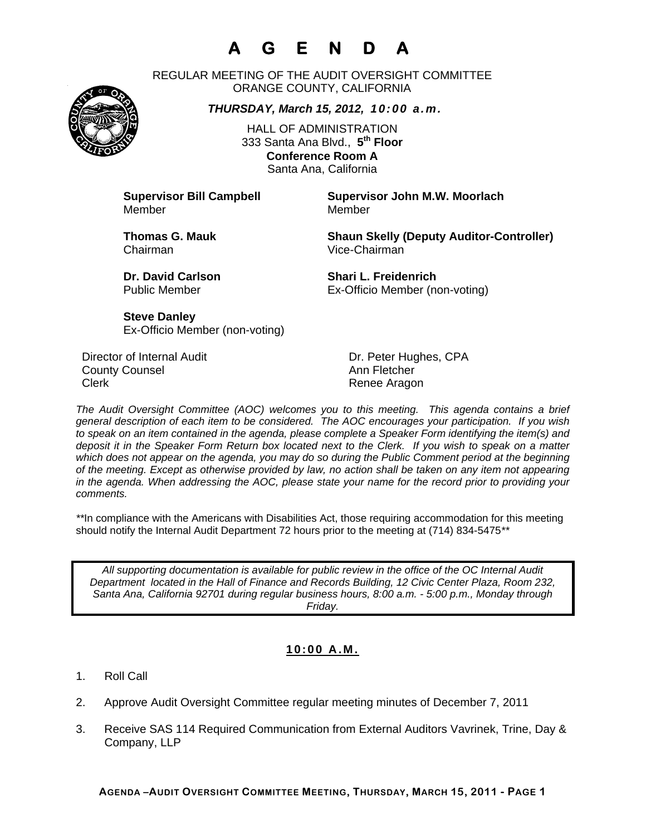# **A G E N D A**

REGULAR MEETING OF THE AUDIT OVERSIGHT COMMITTEE ORANGE COUNTY, CALIFORNIA

*THURSDAY, March 15, 2012, 10:00 a.m.*

HALL OF ADMINISTRATION 333 Santa Ana Blvd., **5th Floor Conference Room A**  Santa Ana, California

Member Member

**Supervisor Bill Campbell Supervisor John M.W. Moorlach**

Chairman Vice-Chairman

**Thomas G. Mauk Shaun Skelly (Deputy Auditor-Controller)** 

**Dr. David Carlson Shari L. Freidenrich** Public Member Ex-Officio Member (non-voting)

**Steve Danley** Ex-Officio Member (non-voting)

Director of Internal Audit **Dr. Peter Hughes, CPA County Counsel Countillist County Counsel Ann Fletcher** Clerk **Clerk Renee Aragon** 

*The Audit Oversight Committee (AOC) welcomes you to this meeting. This agenda contains a brief general description of each item to be considered. The AOC encourages your participation. If you wish to speak on an item contained in the agenda, please complete a Speaker Form identifying the item(s) and deposit it in the Speaker Form Return box located next to the Clerk. If you wish to speak on a matter which does not appear on the agenda, you may do so during the Public Comment period at the beginning of the meeting. Except as otherwise provided by law, no action shall be taken on any item not appearing in the agenda. When addressing the AOC, please state your name for the record prior to providing your comments.* 

*\*\**In compliance with the Americans with Disabilities Act, those requiring accommodation for this meeting should notify the Internal Audit Department 72 hours prior to the meeting at (714) 834-5475*\*\** 

*All supporting documentation is available for public review in the office of the OC Internal Audit Department located in the Hall of Finance and Records Building, 12 Civic Center Plaza, Room 232, Santa Ana, California 92701 during regular business hours, 8:00 a.m. - 5:00 p.m., Monday through Friday.* 

### **10:00 A.M.**

- 1. Roll Call
- 2. Approve Audit Oversight Committee regular meeting minutes of December 7, 2011
- 3. Receive SAS 114 Required Communication from External Auditors Vavrinek, Trine, Day & Company, LLP